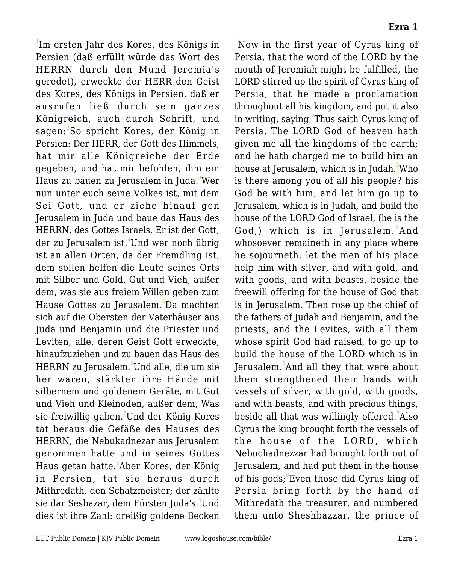<sup>1</sup>Im ersten Jahr des Kores, des Königs in Persien (daß erfüllt würde das Wort des HERRN durch den Mund Jeremia's geredet), erweckte der HERR den Geist des Kores, des Königs in Persien, daß er ausrufen ließ durch sein ganzes Königreich, auch durch Schrift, und sagen:<sup>2</sup>So spricht Kores, der König in Persien: Der HERR, der Gott des Himmels, hat mir alle Königreiche der Erde gegeben, und hat mir befohlen, ihm ein Haus zu bauen zu Jerusalem in Juda.<sup>3</sup>Wer nun unter euch seine Volkes ist, mit dem Sei Gott, und er ziehe hinauf gen Jerusalem in Juda und baue das Haus des HERRN, des Gottes Israels. Er ist der Gott, der zu Jerusalem ist.<sup>4</sup>Und wer noch übrig ist an allen Orten, da der Fremdling ist, dem sollen helfen die Leute seines Orts mit Silber und Gold, Gut und Vieh, außer dem, was sie aus freiem Willen geben zum Hause Gottes zu Jerusalem.<sup>5</sup>Da machten sich auf die Obersten der Vaterhäuser aus Juda und Benjamin und die Priester und Leviten, alle, deren Geist Gott erweckte, hinaufzuziehen und zu bauen das Haus des HERRN zu Jerusalem.<sup>6</sup>Und alle, die um sie her waren, stärkten ihre Hände mit silbernem und goldenem Geräte, mit Gut und Vieh und Kleinoden, außer dem, Was sie freiwillig gaben.<sup>7</sup>Und der König Kores tat heraus die Gefäße des Hauses des HERRN, die Nebukadnezar aus Jerusalem genommen hatte und in seines Gottes Haus getan hatte. $^8$ Aber Kores, der König in Persien, tat sie heraus durch Mithredath, den Schatzmeister; der zählte sie dar Sesbazar, dem Fürsten Juda's. Und dies ist ihre Zahl: dreißig goldene Becken

<sup>1</sup>Now in the first year of Cyrus king of Persia, that the word of the LORD by the mouth of Jeremiah might be fulfilled, the LORD stirred up the spirit of Cyrus king of Persia, that he made a proclamation throughout all his kingdom, and put it also in writing, saying,<sup>2</sup>Thus saith Cyrus king of Persia, The LORD God of heaven hath given me all the kingdoms of the earth; and he hath charged me to build him an house at Jerusalem, which is in Judah.<sup>3</sup>Who is there among you of all his people? his God be with him, and let him go up to Jerusalem, which is in Judah, and build the house of the LORD God of Israel, (he is the God,) which is in Jerusalem.<sup>4</sup>And whosoever remaineth in any place where he sojourneth, let the men of his place help him with silver, and with gold, and with goods, and with beasts, beside the freewill offering for the house of God that is in Jerusalem.<sup>5</sup>Then rose up the chief of the fathers of Judah and Benjamin, and the priests, and the Levites, with all them whose spirit God had raised, to go up to build the house of the LORD which is in Jerusalem. $^6$ And all they that were about them strengthened their hands with vessels of silver, with gold, with goods, and with beasts, and with precious things, beside all that was willingly offered.<sup>7</sup>Also Cyrus the king brought forth the vessels of the house of the LORD, which Nebuchadnezzar had brought forth out of Jerusalem, and had put them in the house of his gods;<sup>8</sup>Even those did Cyrus king of Persia bring forth by the hand of Mithredath the treasurer, and numbered them unto Sheshbazzar, the prince of